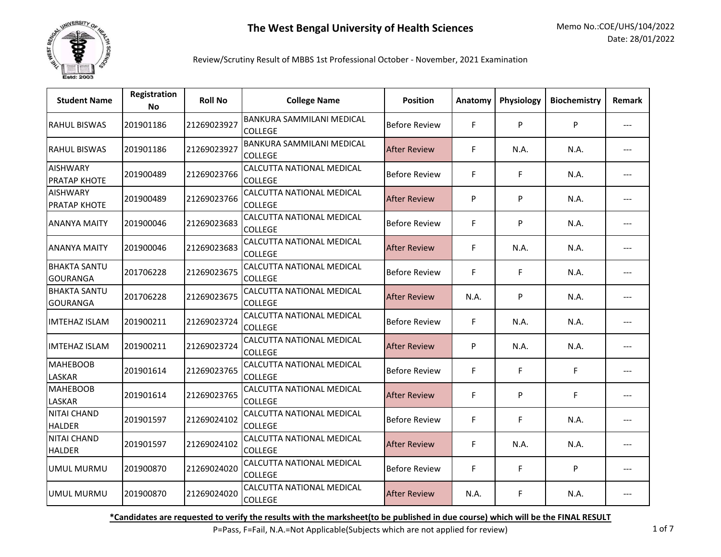

## Review/Scrutiny Result of MBBS 1st Professional October - November, 2021 Examination

| <b>Student Name</b>                    | Registration<br><b>No</b> | <b>Roll No</b> | <b>College Name</b>                                | <b>Position</b>      | Anatomy | Physiology | <b>Biochemistry</b> | <b>Remark</b> |
|----------------------------------------|---------------------------|----------------|----------------------------------------------------|----------------------|---------|------------|---------------------|---------------|
| <b>RAHUL BISWAS</b>                    | 201901186                 | 21269023927    | <b>BANKURA SAMMILANI MEDICAL</b><br><b>COLLEGE</b> | <b>Before Review</b> | F       | P          | P                   |               |
| <b>RAHUL BISWAS</b>                    | 201901186                 | 21269023927    | BANKURA SAMMILANI MEDICAL<br><b>COLLEGE</b>        | <b>After Review</b>  | F       | N.A.       | N.A.                |               |
| <b>AISHWARY</b><br><b>PRATAP KHOTE</b> | 201900489                 | 21269023766    | CALCUTTA NATIONAL MEDICAL<br><b>COLLEGE</b>        | <b>Before Review</b> | F       | F          | N.A.                |               |
| <b>AISHWARY</b><br><b>PRATAP KHOTE</b> | 201900489                 | 21269023766    | CALCUTTA NATIONAL MEDICAL<br><b>COLLEGE</b>        | <b>After Review</b>  | P       | P          | N.A.                |               |
| <b>ANANYA MAITY</b>                    | 201900046                 | 21269023683    | CALCUTTA NATIONAL MEDICAL<br><b>COLLEGE</b>        | <b>Before Review</b> | F       | P          | N.A.                |               |
| <b>ANANYA MAITY</b>                    | 201900046                 | 21269023683    | CALCUTTA NATIONAL MEDICAL<br><b>COLLEGE</b>        | <b>After Review</b>  | F       | N.A.       | N.A.                |               |
| <b>BHAKTA SANTU</b><br><b>GOURANGA</b> | 201706228                 | 21269023675    | CALCUTTA NATIONAL MEDICAL<br><b>COLLEGE</b>        | <b>Before Review</b> | F       | F          | N.A.                |               |
| <b>BHAKTA SANTU</b><br><b>GOURANGA</b> | 201706228                 | 21269023675    | CALCUTTA NATIONAL MEDICAL<br><b>COLLEGE</b>        | <b>After Review</b>  | N.A.    | P          | N.A.                |               |
| <b>IMTEHAZ ISLAM</b>                   | 201900211                 | 21269023724    | CALCUTTA NATIONAL MEDICAL<br><b>COLLEGE</b>        | <b>Before Review</b> | F       | N.A.       | N.A.                |               |
| <b>IMTEHAZ ISLAM</b>                   | 201900211                 | 21269023724    | CALCUTTA NATIONAL MEDICAL<br><b>COLLEGE</b>        | <b>After Review</b>  | P       | N.A.       | N.A.                |               |
| <b>MAHEBOOB</b><br>LASKAR              | 201901614                 | 21269023765    | CALCUTTA NATIONAL MEDICAL<br><b>COLLEGE</b>        | <b>Before Review</b> | F       | F          | F.                  |               |
| <b>MAHEBOOB</b><br><b>LASKAR</b>       | 201901614                 | 21269023765    | CALCUTTA NATIONAL MEDICAL<br><b>COLLEGE</b>        | <b>After Review</b>  | F       | P          | F                   |               |
| <b>NITAI CHAND</b><br><b>HALDER</b>    | 201901597                 | 21269024102    | CALCUTTA NATIONAL MEDICAL<br><b>COLLEGE</b>        | <b>Before Review</b> | F       | F          | N.A.                | ---           |
| <b>NITAI CHAND</b><br><b>HALDER</b>    | 201901597                 | 21269024102    | CALCUTTA NATIONAL MEDICAL<br><b>COLLEGE</b>        | <b>After Review</b>  | F       | N.A.       | N.A.                |               |
| <b>UMUL MURMU</b>                      | 201900870                 | 21269024020    | CALCUTTA NATIONAL MEDICAL<br><b>COLLEGE</b>        | <b>Before Review</b> | F       | F          | P                   |               |
| <b>UMUL MURMU</b>                      | 201900870                 | 21269024020    | <b>CALCUTTA NATIONAL MEDICAL</b><br><b>COLLEGE</b> | <b>After Review</b>  | N.A.    | F          | N.A.                |               |

**\*Candidates are requested to verify the results with the marksheet(to be published in due course) which will be the FINAL RESULT**